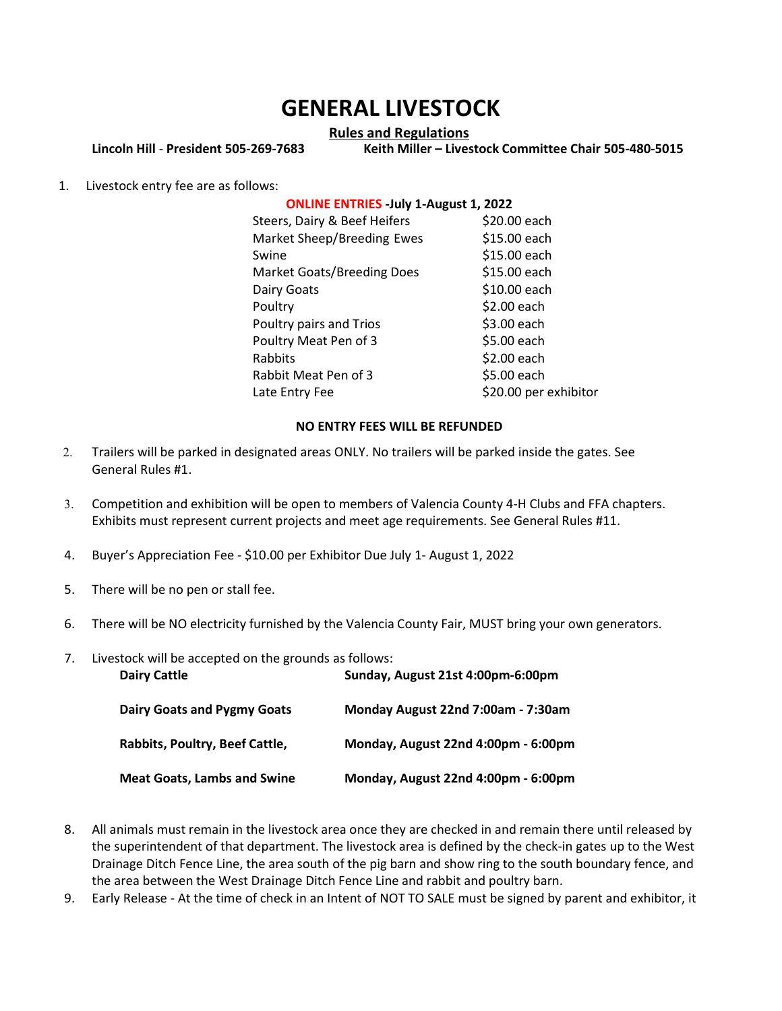# GENERAL LIVESTOCK

#### Rules and Regulations

Lincoln Hill - President 505-269-7683 Keith Miller – Livestock Committee Chair 505-480-5015

1. Livestock entry fee are as follows:

## ONLINE ENTRIES -July 1-August 1, 2022

| Steers, Dairy & Beef Heifers | \$20.00 each          |
|------------------------------|-----------------------|
| Market Sheep/Breeding Ewes   | \$15.00 each          |
| Swine                        | \$15.00 each          |
| Market Goats/Breeding Does   | \$15.00 each          |
| Dairy Goats                  | \$10.00 each          |
| Poultry                      | \$2.00 each           |
| Poultry pairs and Trios      | \$3.00 each           |
| Poultry Meat Pen of 3        | \$5.00 each           |
| Rabbits                      | \$2.00 each           |
| Rabbit Meat Pen of 3         | \$5.00 each           |
| Late Entry Fee               | \$20.00 per exhibitor |

### NO ENTRY FEES WILL BE REFUNDED

- 2. Trailers will be parked in designated areas ONLY. No trailers will be parked inside the gates. See General Rules #1.
- 3. Competition and exhibition will be open to members of Valencia County 4-H Clubs and FFA chapters. Exhibits must represent current projects and meet age requirements. See General Rules #11.
- 4. Buyer's Appreciation Fee \$10.00 per Exhibitor Due July 1- August 1, 2022
- 5. There will be no pen or stall fee.
- 6. There will be NO electricity furnished by the Valencia County Fair, MUST bring your own generators.

| 7. | Livestock will be accepted on the grounds as follows: |                                     |
|----|-------------------------------------------------------|-------------------------------------|
|    | <b>Dairy Cattle</b>                                   | Sunday, August 21st 4:00pm-6:00pm   |
|    | <b>Dairy Goats and Pygmy Goats</b>                    | Monday August 22nd 7:00am - 7:30am  |
|    | Rabbits, Poultry, Beef Cattle,                        | Monday, August 22nd 4:00pm - 6:00pm |
|    | <b>Meat Goats, Lambs and Swine</b>                    | Monday, August 22nd 4:00pm - 6:00pm |

- 8. All animals must remain in the livestock area once they are checked in and remain there until released by the superintendent of that department. The livestock area is defined by the check-in gates up to the West Drainage Ditch Fence Line, the area south of the pig barn and show ring to the south boundary fence, and the area between the West Drainage Ditch Fence Line and rabbit and poultry barn.
- 9. Early Release At the time of check in an Intent of NOT TO SALE must be signed by parent and exhibitor, it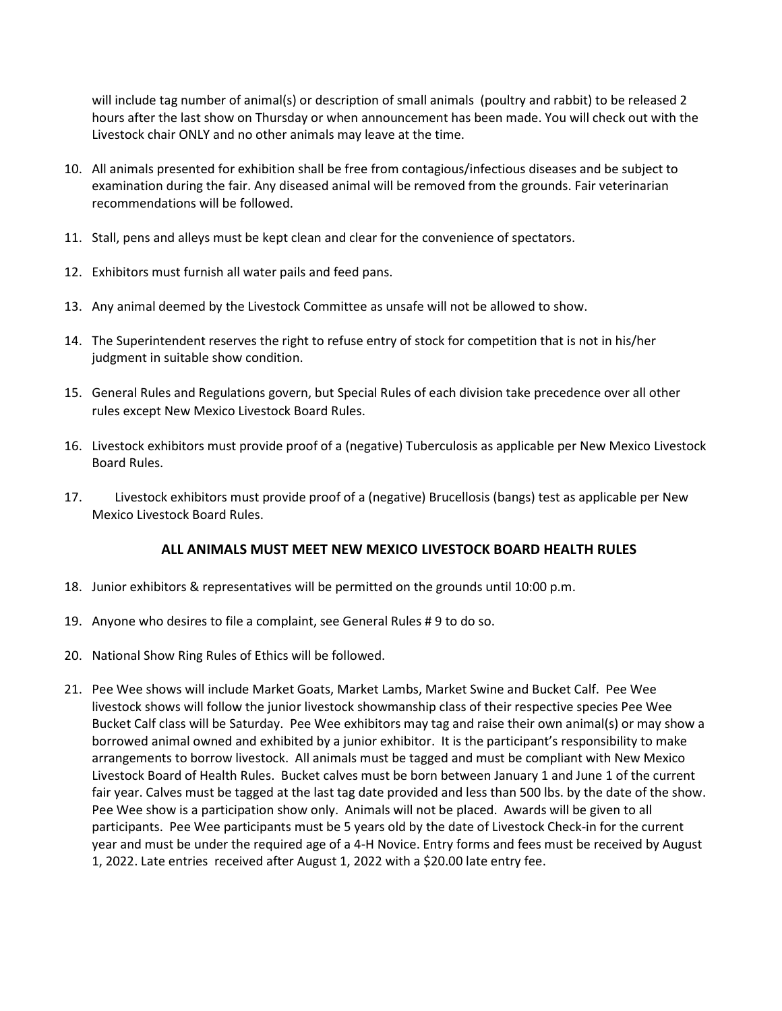will include tag number of animal(s) or description of small animals (poultry and rabbit) to be released 2 hours after the last show on Thursday or when announcement has been made. You will check out with the Livestock chair ONLY and no other animals may leave at the time.

- 10. All animals presented for exhibition shall be free from contagious/infectious diseases and be subject to examination during the fair. Any diseased animal will be removed from the grounds. Fair veterinarian recommendations will be followed.
- 11. Stall, pens and alleys must be kept clean and clear for the convenience of spectators.
- 12. Exhibitors must furnish all water pails and feed pans.
- 13. Any animal deemed by the Livestock Committee as unsafe will not be allowed to show.
- 14. The Superintendent reserves the right to refuse entry of stock for competition that is not in his/her judgment in suitable show condition.
- 15. General Rules and Regulations govern, but Special Rules of each division take precedence over all other rules except New Mexico Livestock Board Rules.
- 16. Livestock exhibitors must provide proof of a (negative) Tuberculosis as applicable per New Mexico Livestock Board Rules.
- 17. Livestock exhibitors must provide proof of a (negative) Brucellosis (bangs) test as applicable per New Mexico Livestock Board Rules.

### ALL ANIMALS MUST MEET NEW MEXICO LIVESTOCK BOARD HEALTH RULES

- 18. Junior exhibitors & representatives will be permitted on the grounds until 10:00 p.m.
- 19. Anyone who desires to file a complaint, see General Rules # 9 to do so.
- 20. National Show Ring Rules of Ethics will be followed.
- 21. Pee Wee shows will include Market Goats, Market Lambs, Market Swine and Bucket Calf. Pee Wee livestock shows will follow the junior livestock showmanship class of their respective species Pee Wee Bucket Calf class will be Saturday. Pee Wee exhibitors may tag and raise their own animal(s) or may show a borrowed animal owned and exhibited by a junior exhibitor. It is the participant's responsibility to make arrangements to borrow livestock. All animals must be tagged and must be compliant with New Mexico Livestock Board of Health Rules. Bucket calves must be born between January 1 and June 1 of the current fair year. Calves must be tagged at the last tag date provided and less than 500 lbs. by the date of the show. Pee Wee show is a participation show only. Animals will not be placed. Awards will be given to all participants. Pee Wee participants must be 5 years old by the date of Livestock Check-in for the current year and must be under the required age of a 4-H Novice. Entry forms and fees must be received by August 1, 2022. Late entries received after August 1, 2022 with a \$20.00 late entry fee.